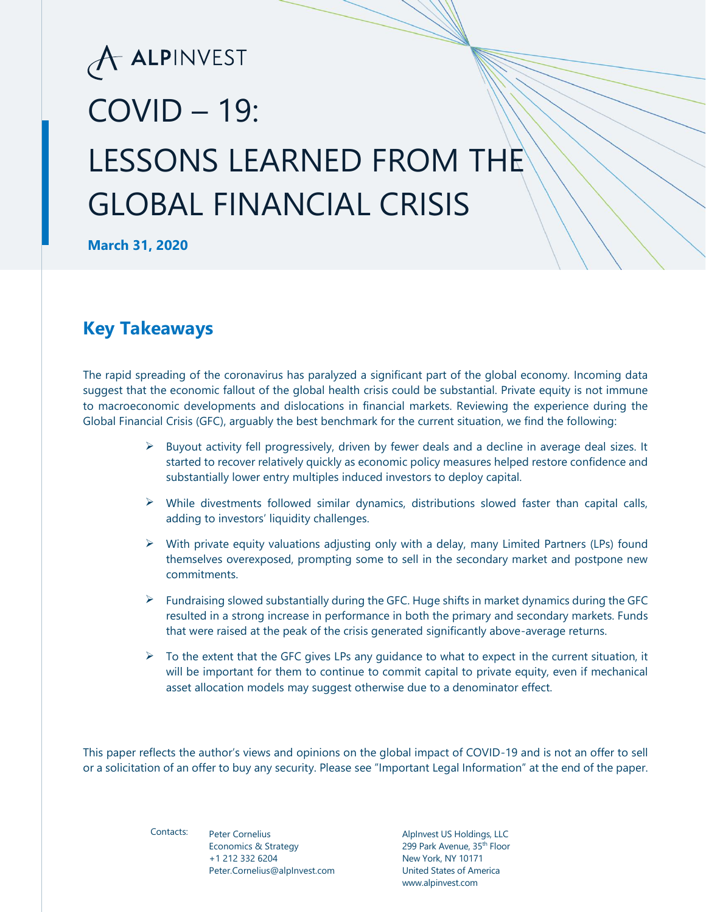# A ALPINVEST  $COVID - 19$ : LESSONS LEARNED FROM THE GLOBAL FINANCIAL CRISIS

**March 31, 2020**

### **Key Takeaways**

The rapid spreading of the coronavirus has paralyzed a significant part of the global economy. Incoming data suggest that the economic fallout of the global health crisis could be substantial. Private equity is not immune to macroeconomic developments and dislocations in financial markets. Reviewing the experience during the Global Financial Crisis (GFC), arguably the best benchmark for the current situation, we find the following:

- $\triangleright$  Buyout activity fell progressively, driven by fewer deals and a decline in average deal sizes. It started to recover relatively quickly as economic policy measures helped restore confidence and substantially lower entry multiples induced investors to deploy capital.
- $\triangleright$  While divestments followed similar dynamics, distributions slowed faster than capital calls, adding to investors' liquidity challenges.
- $\triangleright$  With private equity valuations adjusting only with a delay, many Limited Partners (LPs) found themselves overexposed, prompting some to sell in the secondary market and postpone new commitments.
- $\triangleright$  Fundraising slowed substantially during the GFC. Huge shifts in market dynamics during the GFC resulted in a strong increase in performance in both the primary and secondary markets. Funds that were raised at the peak of the crisis generated significantly above-average returns.
- $\triangleright$  To the extent that the GFC gives LPs any guidance to what to expect in the current situation, it will be important for them to continue to commit capital to private equity, even if mechanical asset allocation models may suggest otherwise due to a denominator effect.

This paper reflects the author's views and opinions on the global impact of COVID-19 and is not an offer to sell or a solicitation of an offer to buy any security. Please see "Important Legal Information" at the end of the paper.

Contacts:

Peter Cornelius Economics & Strategy +1 212 332 6204 Peter.Cornelius@alpInvest.com

AlpInvest US Holdings, LLC 299 Park Avenue, 35<sup>th</sup> Floor New York, NY 10171 United States of America www.alpinvest.com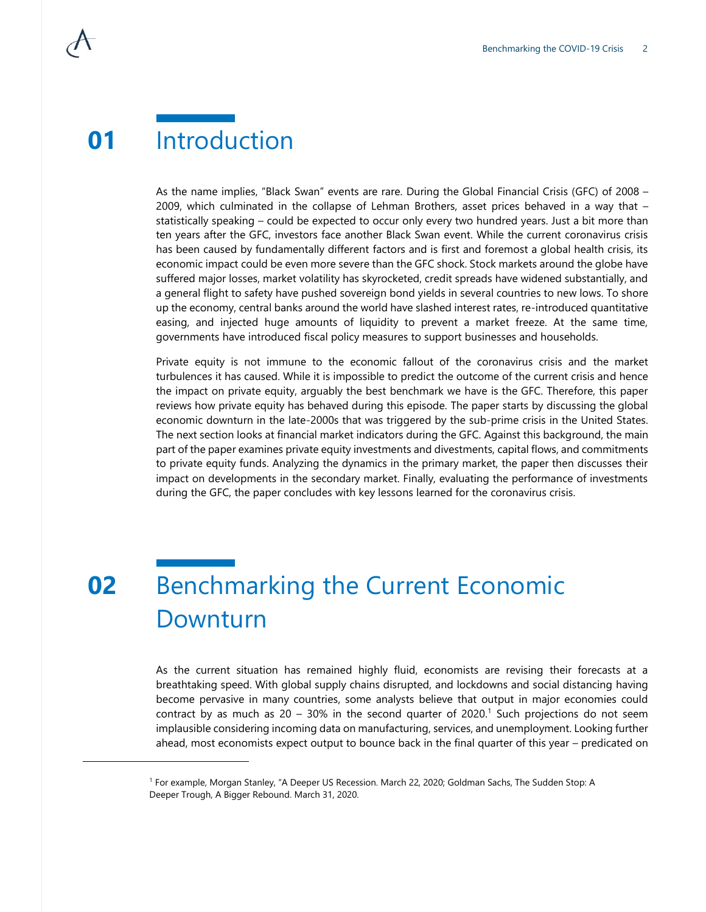### **01** Introduction

As the name implies, "Black Swan" events are rare. During the Global Financial Crisis (GFC) of 2008 – 2009, which culminated in the collapse of Lehman Brothers, asset prices behaved in a way that – statistically speaking – could be expected to occur only every two hundred years. Just a bit more than ten years after the GFC, investors face another Black Swan event. While the current coronavirus crisis has been caused by fundamentally different factors and is first and foremost a global health crisis, its economic impact could be even more severe than the GFC shock. Stock markets around the globe have suffered major losses, market volatility has skyrocketed, credit spreads have widened substantially, and a general flight to safety have pushed sovereign bond yields in several countries to new lows. To shore up the economy, central banks around the world have slashed interest rates, re-introduced quantitative easing, and injected huge amounts of liquidity to prevent a market freeze. At the same time, governments have introduced fiscal policy measures to support businesses and households.

Private equity is not immune to the economic fallout of the coronavirus crisis and the market turbulences it has caused. While it is impossible to predict the outcome of the current crisis and hence the impact on private equity, arguably the best benchmark we have is the GFC. Therefore, this paper reviews how private equity has behaved during this episode. The paper starts by discussing the global economic downturn in the late-2000s that was triggered by the sub-prime crisis in the United States. The next section looks at financial market indicators during the GFC. Against this background, the main part of the paper examines private equity investments and divestments, capital flows, and commitments to private equity funds. Analyzing the dynamics in the primary market, the paper then discusses their impact on developments in the secondary market. Finally, evaluating the performance of investments during the GFC, the paper concludes with key lessons learned for the coronavirus crisis.

## **02** Benchmarking the Current Economic Downturn

As the current situation has remained highly fluid, economists are revising their forecasts at a breathtaking speed. With global supply chains disrupted, and lockdowns and social distancing having become pervasive in many countries, some analysts believe that output in major economies could contract by as much as  $20 - 30\%$  in the second quarter of  $2020$ .<sup>1</sup> Such projections do not seem implausible considering incoming data on manufacturing, services, and unemployment. Looking further ahead, most economists expect output to bounce back in the final quarter of this year – predicated on

<sup>1</sup> For example, Morgan Stanley, "A Deeper US Recession. March 22, 2020; Goldman Sachs, The Sudden Stop: A Deeper Trough, A Bigger Rebound. March 31, 2020.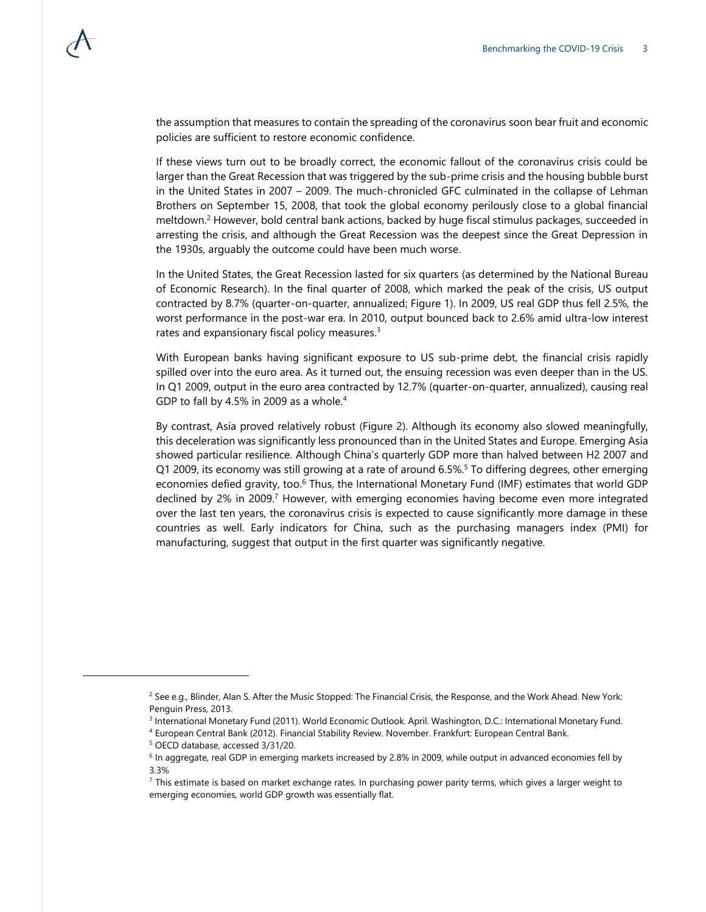the assumption that measures to contain the spreading of the coronavirus soon bear fruit and economic policies are sufficient to restore economic confidence.

If these views turn out to be broadly correct, the economic fallout of the coronavirus crisis could be larger than the Great Recession that was triggered by the sub-prime crisis and the housing bubble burst in the United States in 2007 – 2009. The much-chronicled GFC culminated in the collapse of Lehman Brothers on September 15, 2008, that took the global economy perilously close to a global financial meltdown.<sup>2</sup> However, bold central bank actions, backed by huge fiscal stimulus packages, succeeded in arresting the crisis, and although the Great Recession was the deepest since the Great Depression in the 1930s, arguably the outcome could have been much worse.

In the United States, the Great Recession lasted for six quarters (as determined by the National Bureau of Economic Research). In the final quarter of 2008, which marked the peak of the crisis, US output contracted by 8.7% (quarter-on-quarter, annualized; Figure 1). In 2009, US real GDP thus fell 2.5%, the worst performance in the post-war era. In 2010, output bounced back to 2.6% amid ultra-low interest rates and expansionary fiscal policy measures.<sup>3</sup>

With European banks having significant exposure to US sub-prime debt, the financial crisis rapidly spilled over into the euro area. As it turned out, the ensuing recession was even deeper than in the US. In Q1 2009, output in the euro area contracted by 12.7% (quarter-on-quarter, annualized), causing real GDP to fall by 4.5% in 2009 as a whole.<sup>4</sup>

By contrast, Asia proved relatively robust (Figure 2). Although its economy also slowed meaningfully, this deceleration was significantly less pronounced than in the United States and Europe. Emerging Asia showed particular resilience. Although China's quarterly GDP more than halved between H2 2007 and Q1 2009, its economy was still growing at a rate of around 6.5%.<sup>5</sup> To differing degrees, other emerging economies defied gravity, too.<sup>6</sup> Thus, the International Monetary Fund (IMF) estimates that world GDP declined by 2% in 2009.<sup>7</sup> However, with emerging economies having become even more integrated over the last ten years, the coronavirus crisis is expected to cause significantly more damage in these countries as well. Early indicators for China, such as the purchasing managers index (PMI) for manufacturing, suggest that output in the first quarter was significantly negative.

<sup>&</sup>lt;sup>2</sup> See e.g., Blinder, Alan S. After the Music Stopped: The Financial Crisis, the Response, and the Work Ahead. New York: Penguin Press, 2013.

<sup>3</sup> International Monetary Fund (2011). World Economic Outlook. April. Washington, D.C.: International Monetary Fund.

<sup>4</sup> European Central Bank (2012). Financial Stability Review. November. Frankfurt: European Central Bank.

<sup>5</sup> OECD database, accessed 3/31/20.

<sup>&</sup>lt;sup>6</sup> In aggregate, real GDP in emerging markets increased by 2.8% in 2009, while output in advanced economies fell by 3.3%

 $<sup>7</sup>$  This estimate is based on market exchange rates. In purchasing power parity terms, which gives a larger weight to</sup> emerging economies, world GDP growth was essentially flat.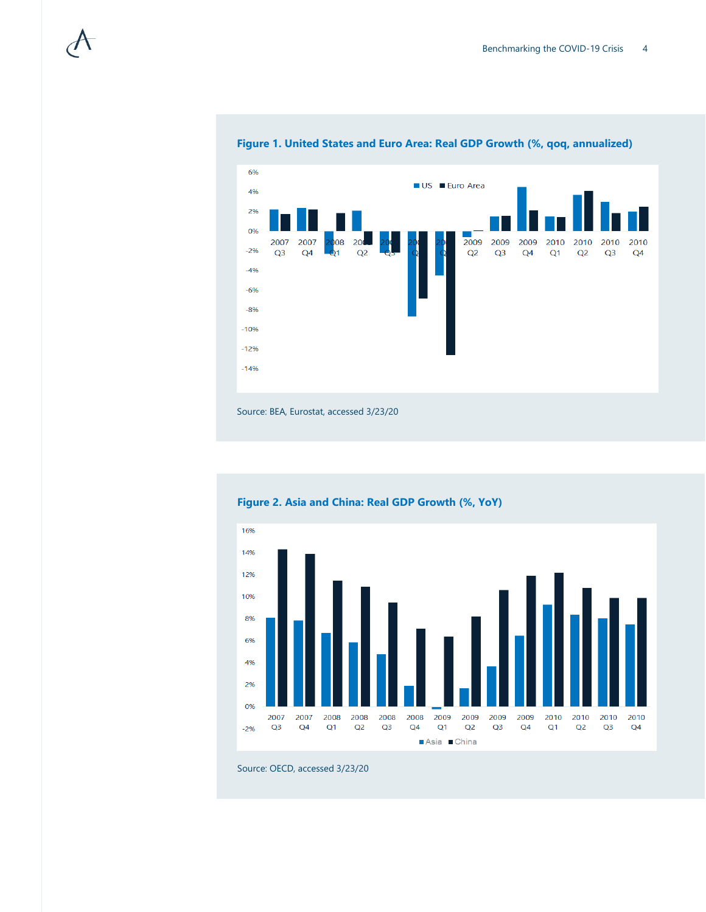

#### **Figure 1. United States and Euro Area: Real GDP Growth (%, qoq, annualized)**

Source: BEA, Eurostat, accessed 3/23/20



### **Figure 2. Asia and China: Real GDP Growth (%, YoY)**

Source: OECD, accessed 3/23/20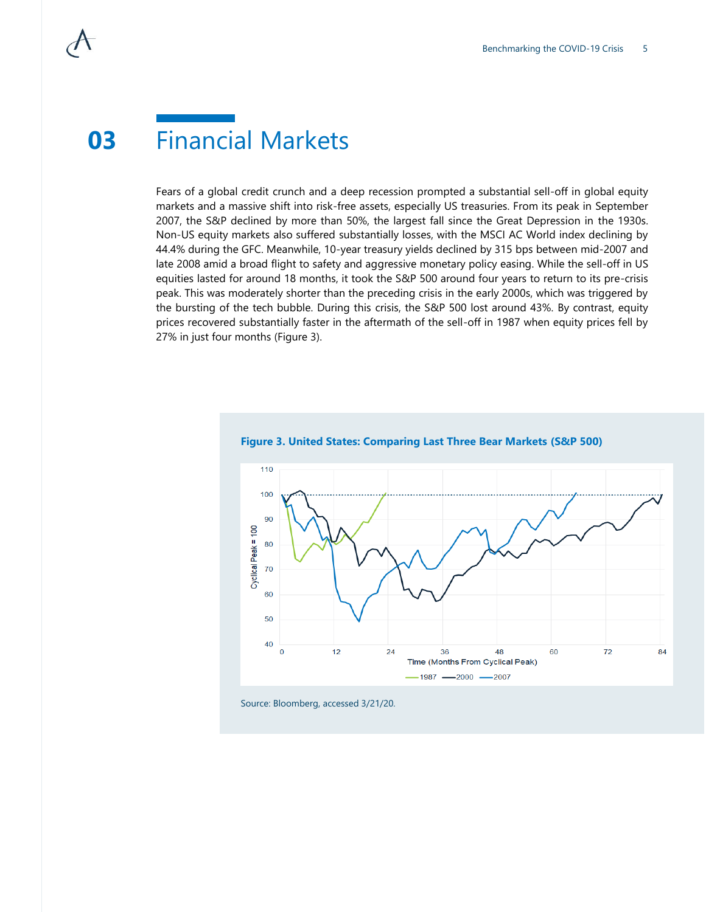### **03** Financial Markets

Fears of a global credit crunch and a deep recession prompted a substantial sell-off in global equity markets and a massive shift into risk-free assets, especially US treasuries. From its peak in September 2007, the S&P declined by more than 50%, the largest fall since the Great Depression in the 1930s. Non-US equity markets also suffered substantially losses, with the MSCI AC World index declining by 44.4% during the GFC. Meanwhile, 10-year treasury yields declined by 315 bps between mid-2007 and late 2008 amid a broad flight to safety and aggressive monetary policy easing. While the sell-off in US equities lasted for around 18 months, it took the S&P 500 around four years to return to its pre-crisis peak. This was moderately shorter than the preceding crisis in the early 2000s, which was triggered by the bursting of the tech bubble. During this crisis, the S&P 500 lost around 43%. By contrast, equity prices recovered substantially faster in the aftermath of the sell-off in 1987 when equity prices fell by 27% in just four months (Figure 3).





Source: Bloomberg, accessed 3/21/20.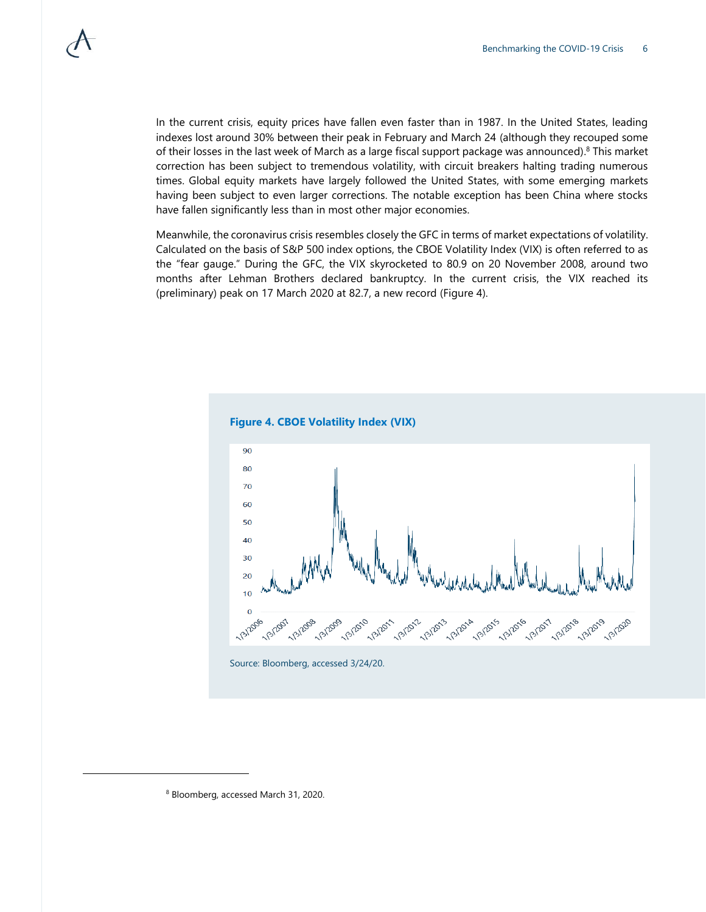In the current crisis, equity prices have fallen even faster than in 1987. In the United States, leading indexes lost around 30% between their peak in February and March 24 (although they recouped some of their losses in the last week of March as a large fiscal support package was announced). <sup>8</sup> This market correction has been subject to tremendous volatility, with circuit breakers halting trading numerous times. Global equity markets have largely followed the United States, with some emerging markets having been subject to even larger corrections. The notable exception has been China where stocks have fallen significantly less than in most other major economies.

Meanwhile, the coronavirus crisis resembles closely the GFC in terms of market expectations of volatility. Calculated on the basis of S&P 500 index options, the CBOE Volatility Index (VIX) is often referred to as the "fear gauge." During the GFC, the VIX skyrocketed to 80.9 on 20 November 2008, around two months after Lehman Brothers declared bankruptcy. In the current crisis, the VIX reached its (preliminary) peak on 17 March 2020 at 82.7, a new record (Figure 4).



Source: Bloomberg, accessed 3/24/20.

<sup>8</sup> Bloomberg, accessed March 31, 2020.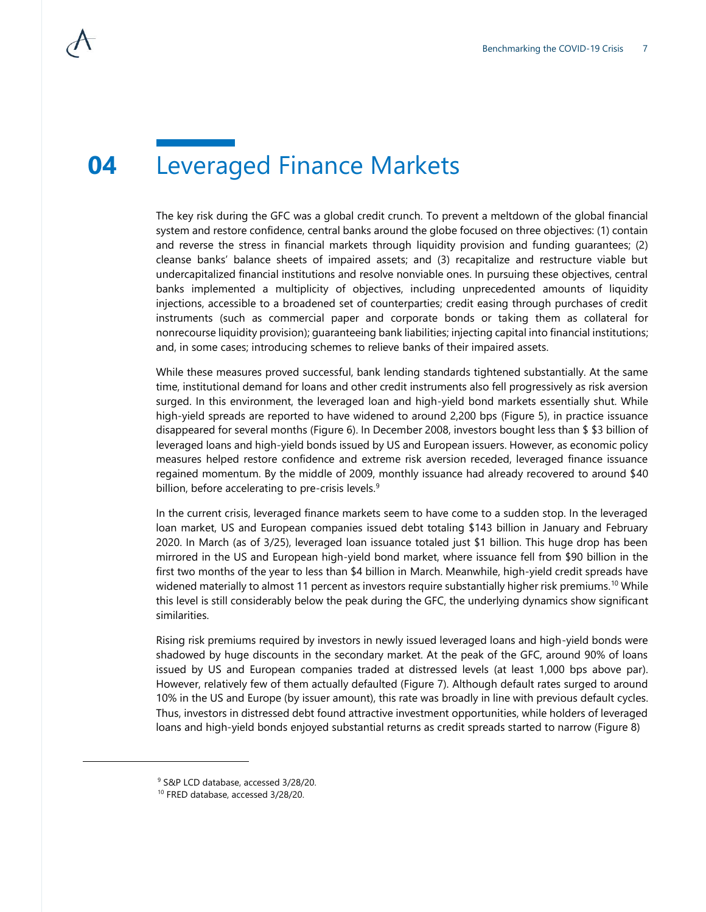### **04** Leveraged Finance Markets

The key risk during the GFC was a global credit crunch. To prevent a meltdown of the global financial system and restore confidence, central banks around the globe focused on three objectives: (1) contain and reverse the stress in financial markets through liquidity provision and funding guarantees; (2) cleanse banks' balance sheets of impaired assets; and (3) recapitalize and restructure viable but undercapitalized financial institutions and resolve nonviable ones. In pursuing these objectives, central banks implemented a multiplicity of objectives, including unprecedented amounts of liquidity injections, accessible to a broadened set of counterparties; credit easing through purchases of credit instruments (such as commercial paper and corporate bonds or taking them as collateral for nonrecourse liquidity provision); guaranteeing bank liabilities; injecting capital into financial institutions; and, in some cases; introducing schemes to relieve banks of their impaired assets.

While these measures proved successful, bank lending standards tightened substantially. At the same time, institutional demand for loans and other credit instruments also fell progressively as risk aversion surged. In this environment, the leveraged loan and high-yield bond markets essentially shut. While high-yield spreads are reported to have widened to around 2,200 bps (Figure 5), in practice issuance disappeared for several months (Figure 6). In December 2008, investors bought less than \$ \$3 billion of leveraged loans and high-yield bonds issued by US and European issuers. However, as economic policy measures helped restore confidence and extreme risk aversion receded, leveraged finance issuance regained momentum. By the middle of 2009, monthly issuance had already recovered to around \$40 billion, before accelerating to pre-crisis levels.<sup>9</sup>

In the current crisis, leveraged finance markets seem to have come to a sudden stop. In the leveraged loan market, US and European companies issued debt totaling \$143 billion in January and February 2020. In March (as of 3/25), leveraged loan issuance totaled just \$1 billion. This huge drop has been mirrored in the US and European high-yield bond market, where issuance fell from \$90 billion in the first two months of the year to less than \$4 billion in March. Meanwhile, high-yield credit spreads have widened materially to almost 11 percent as investors require substantially higher risk premiums.<sup>10</sup> While this level is still considerably below the peak during the GFC, the underlying dynamics show significant similarities.

Rising risk premiums required by investors in newly issued leveraged loans and high-yield bonds were shadowed by huge discounts in the secondary market. At the peak of the GFC, around 90% of loans issued by US and European companies traded at distressed levels (at least 1,000 bps above par). However, relatively few of them actually defaulted (Figure 7). Although default rates surged to around 10% in the US and Europe (by issuer amount), this rate was broadly in line with previous default cycles. Thus, investors in distressed debt found attractive investment opportunities, while holders of leveraged loans and high-yield bonds enjoyed substantial returns as credit spreads started to narrow (Figure 8)

<sup>&</sup>lt;sup>9</sup> S&P LCD database, accessed 3/28/20.

<sup>10</sup> FRED database, accessed 3/28/20.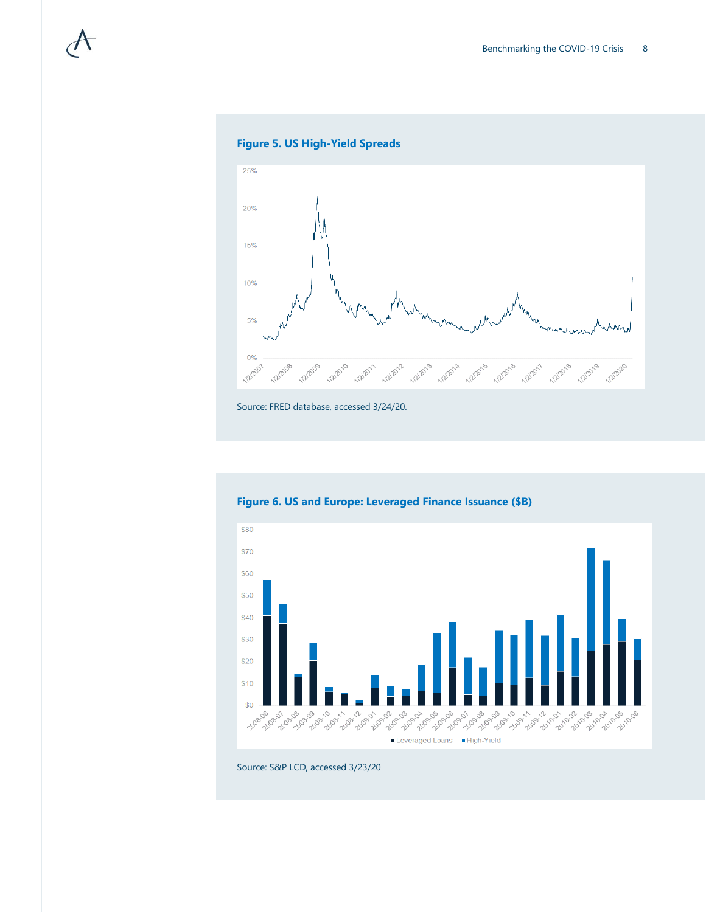





Source: FRED database, accessed 3/24/20.



**Figure 6. US and Europe: Leveraged Finance Issuance (\$B)**

Source: S&P LCD, accessed 3/23/20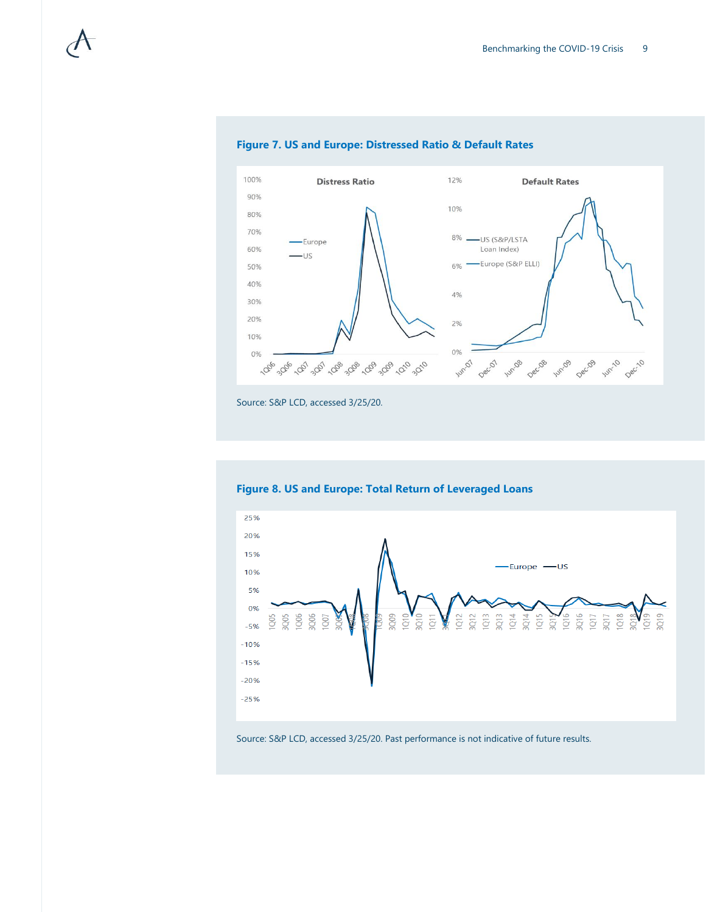

### **Figure 7. US and Europe: Distressed Ratio & Default Rates**

Source: S&P LCD, accessed 3/25/20.



### **Figure 8. US and Europe: Total Return of Leveraged Loans**

#### Source: S&P LCD, accessed 3/25/20. Past performance is not indicative of future results.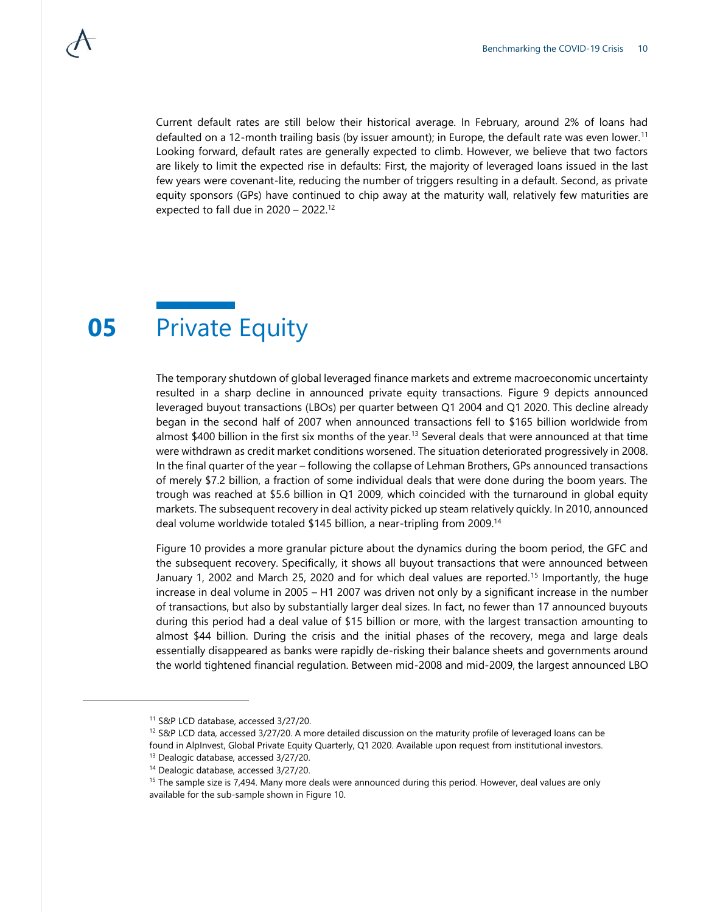Current default rates are still below their historical average. In February, around 2% of loans had defaulted on a 12-month trailing basis (by issuer amount); in Europe, the default rate was even lower.<sup>11</sup> Looking forward, default rates are generally expected to climb. However, we believe that two factors are likely to limit the expected rise in defaults: First, the majority of leveraged loans issued in the last few years were covenant-lite, reducing the number of triggers resulting in a default. Second, as private equity sponsors (GPs) have continued to chip away at the maturity wall, relatively few maturities are expected to fall due in  $2020 - 2022$ .<sup>12</sup>

### **05** Private Equity

The temporary shutdown of global leveraged finance markets and extreme macroeconomic uncertainty resulted in a sharp decline in announced private equity transactions. Figure 9 depicts announced leveraged buyout transactions (LBOs) per quarter between Q1 2004 and Q1 2020. This decline already began in the second half of 2007 when announced transactions fell to \$165 billion worldwide from almost \$400 billion in the first six months of the year.<sup>13</sup> Several deals that were announced at that time were withdrawn as credit market conditions worsened. The situation deteriorated progressively in 2008. In the final quarter of the year – following the collapse of Lehman Brothers, GPs announced transactions of merely \$7.2 billion, a fraction of some individual deals that were done during the boom years. The trough was reached at \$5.6 billion in Q1 2009, which coincided with the turnaround in global equity markets. The subsequent recovery in deal activity picked up steam relatively quickly. In 2010, announced deal volume worldwide totaled \$145 billion, a near-tripling from 2009.<sup>14</sup>

Figure 10 provides a more granular picture about the dynamics during the boom period, the GFC and the subsequent recovery. Specifically, it shows all buyout transactions that were announced between January 1, 2002 and March 25, 2020 and for which deal values are reported.<sup>15</sup> Importantly, the huge increase in deal volume in 2005 – H1 2007 was driven not only by a significant increase in the number of transactions, but also by substantially larger deal sizes. In fact, no fewer than 17 announced buyouts during this period had a deal value of \$15 billion or more, with the largest transaction amounting to almost \$44 billion. During the crisis and the initial phases of the recovery, mega and large deals essentially disappeared as banks were rapidly de-risking their balance sheets and governments around the world tightened financial regulation. Between mid-2008 and mid-2009, the largest announced LBO

l

<sup>11</sup> S&P LCD database, accessed 3/27/20.

 $12$  S&P LCD data, accessed 3/27/20. A more detailed discussion on the maturity profile of leveraged loans can be found in AlpInvest, Global Private Equity Quarterly, Q1 2020. Available upon request from institutional investors. <sup>13</sup> Dealogic database, accessed 3/27/20.

<sup>14</sup> Dealogic database, accessed 3/27/20.

<sup>&</sup>lt;sup>15</sup> The sample size is 7,494. Many more deals were announced during this period. However, deal values are only available for the sub-sample shown in Figure 10.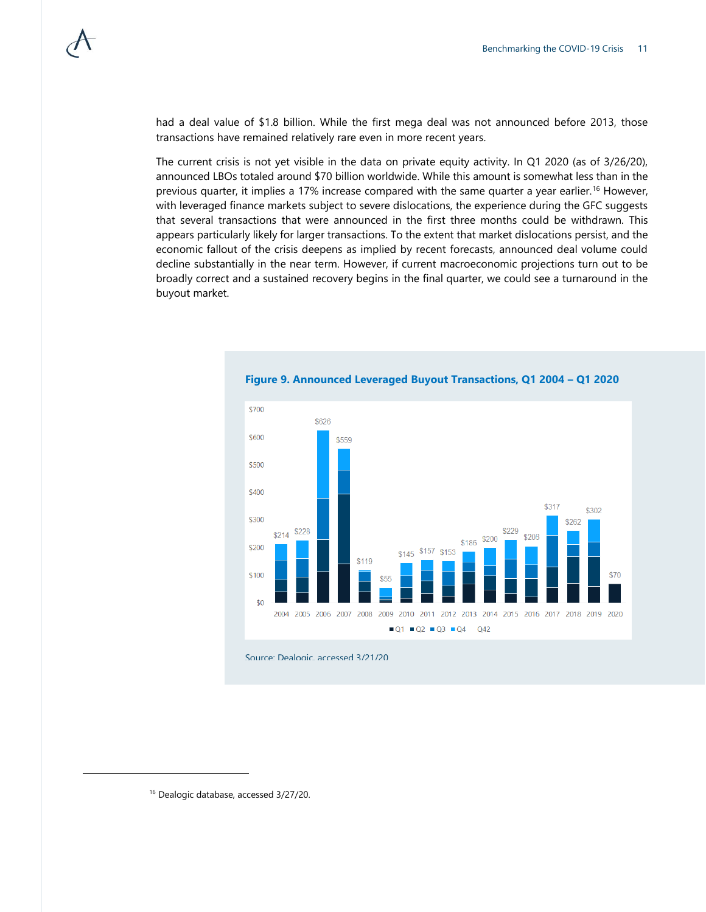had a deal value of \$1.8 billion. While the first mega deal was not announced before 2013, those transactions have remained relatively rare even in more recent years.

The current crisis is not yet visible in the data on private equity activity. In Q1 2020 (as of 3/26/20), announced LBOs totaled around \$70 billion worldwide. While this amount is somewhat less than in the previous quarter, it implies a 17% increase compared with the same quarter a year earlier.<sup>16</sup> However, with leveraged finance markets subject to severe dislocations, the experience during the GFC suggests that several transactions that were announced in the first three months could be withdrawn. This appears particularly likely for larger transactions. To the extent that market dislocations persist, and the economic fallout of the crisis deepens as implied by recent forecasts, announced deal volume could decline substantially in the near term. However, if current macroeconomic projections turn out to be broadly correct and a sustained recovery begins in the final quarter, we could see a turnaround in the buyout market.



**Figure 9. Announced Leveraged Buyout Transactions, Q1 2004 – Q1 2020**

Source: Dealogic, accessed 3/21/20

l

<sup>16</sup> Dealogic database, accessed 3/27/20.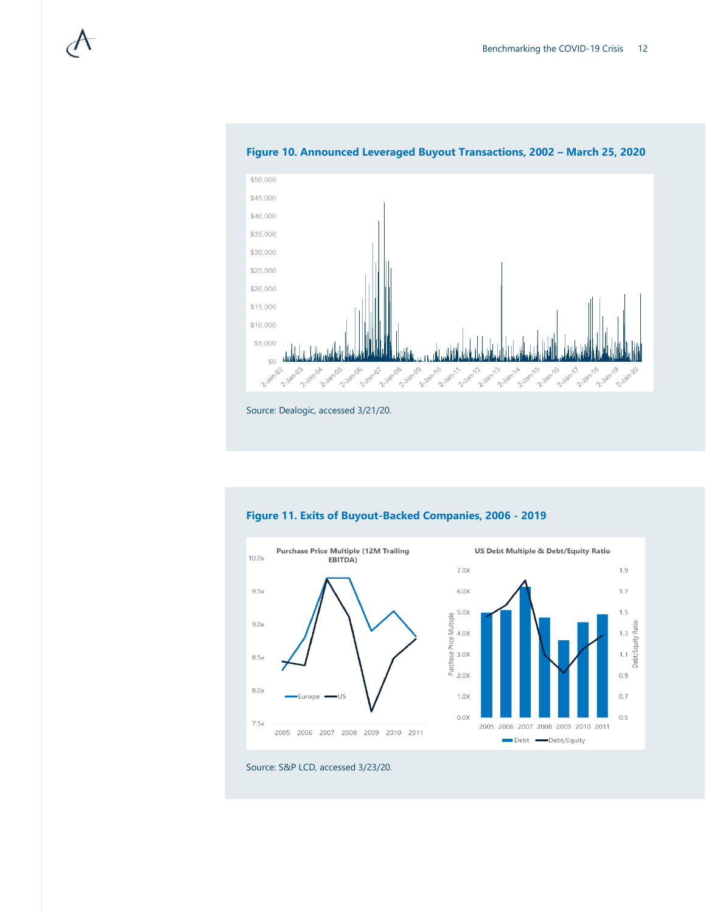

#### **Figure 10. Announced Leveraged Buyout Transactions, 2002 – March 25, 2020**





Source: S&P LCD, accessed 3/23/20.

Source: Dealogic, accessed 3/21/20.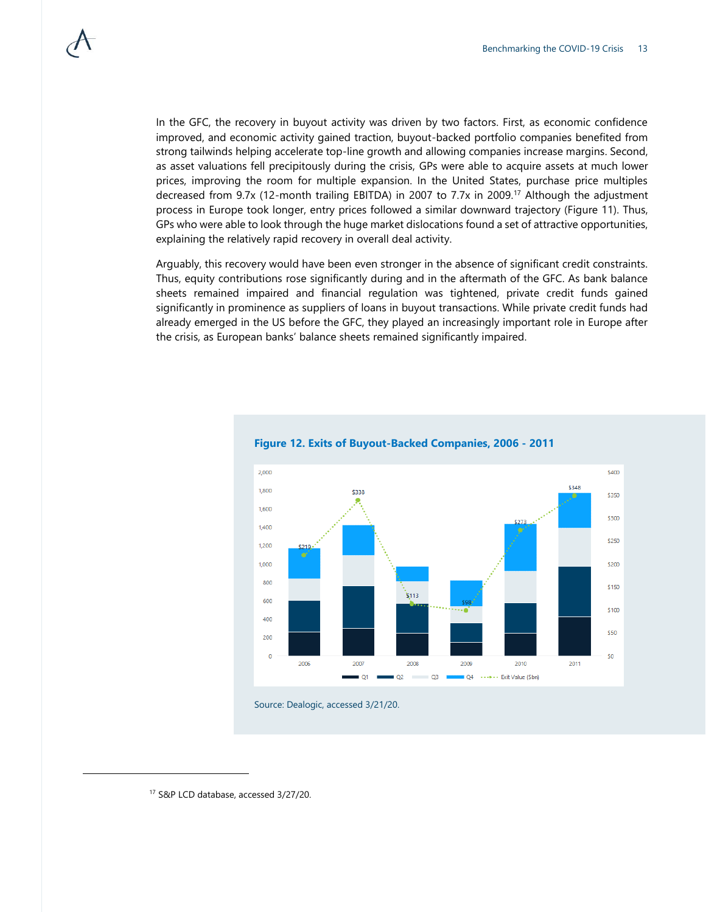In the GFC, the recovery in buyout activity was driven by two factors. First, as economic confidence improved, and economic activity gained traction, buyout-backed portfolio companies benefited from strong tailwinds helping accelerate top-line growth and allowing companies increase margins. Second, as asset valuations fell precipitously during the crisis, GPs were able to acquire assets at much lower prices, improving the room for multiple expansion. In the United States, purchase price multiples decreased from 9.7x (12-month trailing EBITDA) in 2007 to 7.7x in 2009.<sup>17</sup> Although the adjustment process in Europe took longer, entry prices followed a similar downward trajectory (Figure 11). Thus, GPs who were able to look through the huge market dislocations found a set of attractive opportunities, explaining the relatively rapid recovery in overall deal activity.

Arguably, this recovery would have been even stronger in the absence of significant credit constraints. Thus, equity contributions rose significantly during and in the aftermath of the GFC. As bank balance sheets remained impaired and financial regulation was tightened, private credit funds gained significantly in prominence as suppliers of loans in buyout transactions. While private credit funds had already emerged in the US before the GFC, they played an increasingly important role in Europe after the crisis, as European banks' balance sheets remained significantly impaired.



#### **Figure 12. Exits of Buyout-Backed Companies, 2006 - 2011**

Source: Dealogic, accessed 3/21/20.

l

<sup>17</sup> S&P LCD database, accessed 3/27/20.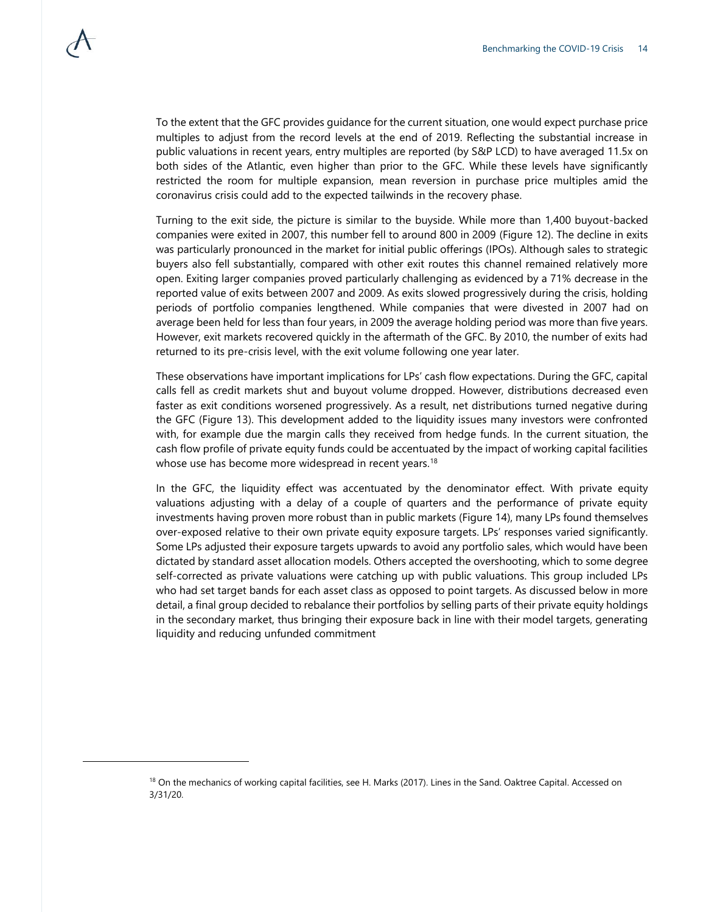To the extent that the GFC provides guidance for the current situation, one would expect purchase price multiples to adjust from the record levels at the end of 2019. Reflecting the substantial increase in public valuations in recent years, entry multiples are reported (by S&P LCD) to have averaged 11.5x on both sides of the Atlantic, even higher than prior to the GFC. While these levels have significantly restricted the room for multiple expansion, mean reversion in purchase price multiples amid the coronavirus crisis could add to the expected tailwinds in the recovery phase.

Turning to the exit side, the picture is similar to the buyside. While more than 1,400 buyout-backed companies were exited in 2007, this number fell to around 800 in 2009 (Figure 12). The decline in exits was particularly pronounced in the market for initial public offerings (IPOs). Although sales to strategic buyers also fell substantially, compared with other exit routes this channel remained relatively more open. Exiting larger companies proved particularly challenging as evidenced by a 71% decrease in the reported value of exits between 2007 and 2009. As exits slowed progressively during the crisis, holding periods of portfolio companies lengthened. While companies that were divested in 2007 had on average been held for less than four years, in 2009 the average holding period was more than five years. However, exit markets recovered quickly in the aftermath of the GFC. By 2010, the number of exits had returned to its pre-crisis level, with the exit volume following one year later.

These observations have important implications for LPs' cash flow expectations. During the GFC, capital calls fell as credit markets shut and buyout volume dropped. However, distributions decreased even faster as exit conditions worsened progressively. As a result, net distributions turned negative during the GFC (Figure 13). This development added to the liquidity issues many investors were confronted with, for example due the margin calls they received from hedge funds. In the current situation, the cash flow profile of private equity funds could be accentuated by the impact of working capital facilities whose use has become more widespread in recent years.<sup>18</sup>

In the GFC, the liquidity effect was accentuated by the denominator effect. With private equity valuations adjusting with a delay of a couple of quarters and the performance of private equity investments having proven more robust than in public markets (Figure 14), many LPs found themselves over-exposed relative to their own private equity exposure targets. LPs' responses varied significantly. Some LPs adjusted their exposure targets upwards to avoid any portfolio sales, which would have been dictated by standard asset allocation models. Others accepted the overshooting, which to some degree self-corrected as private valuations were catching up with public valuations. This group included LPs who had set target bands for each asset class as opposed to point targets. As discussed below in more detail, a final group decided to rebalance their portfolios by selling parts of their private equity holdings in the secondary market, thus bringing their exposure back in line with their model targets, generating liquidity and reducing unfunded commitment

<sup>&</sup>lt;sup>18</sup> On the mechanics of working capital facilities, see H. Marks (2017). Lines in the Sand. Oaktree Capital. Accessed on 3/31/20.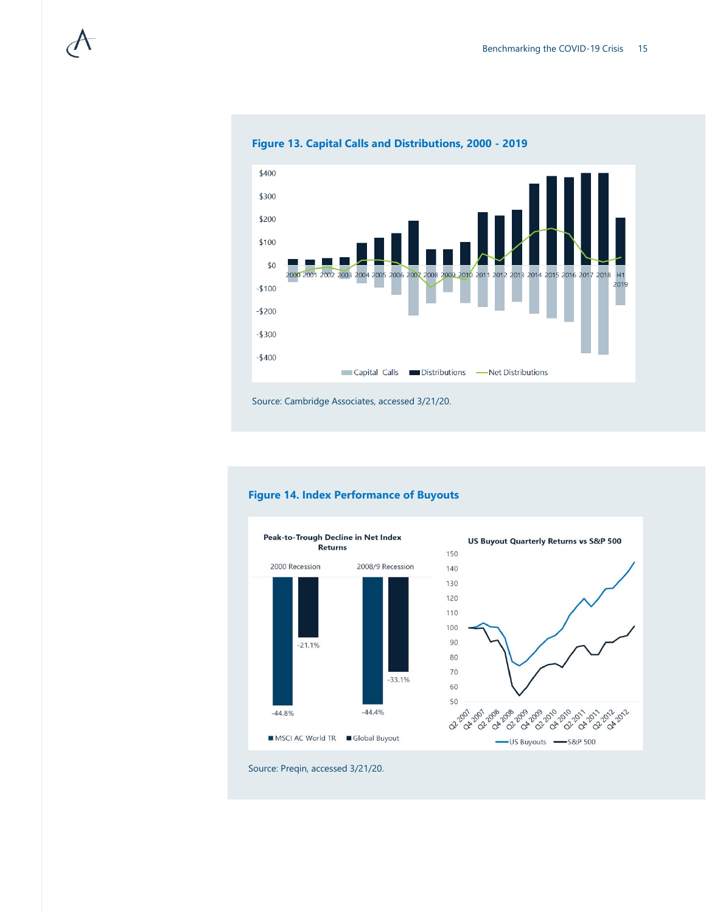

**Figure 13. Capital Calls and Distributions, 2000 - 2019**



**Figure 14. Index Performance of Buyouts** 

### **US Buyout Quarterly Returns vs S&P 500** 150 140 130 120 110 100 90 80 70 60 50 2-29-29-29-29-29-29-20-20-20-20-20-20-20-20 -US Buyouts -S&P 500

Source: Preqin, accessed 3/21/20.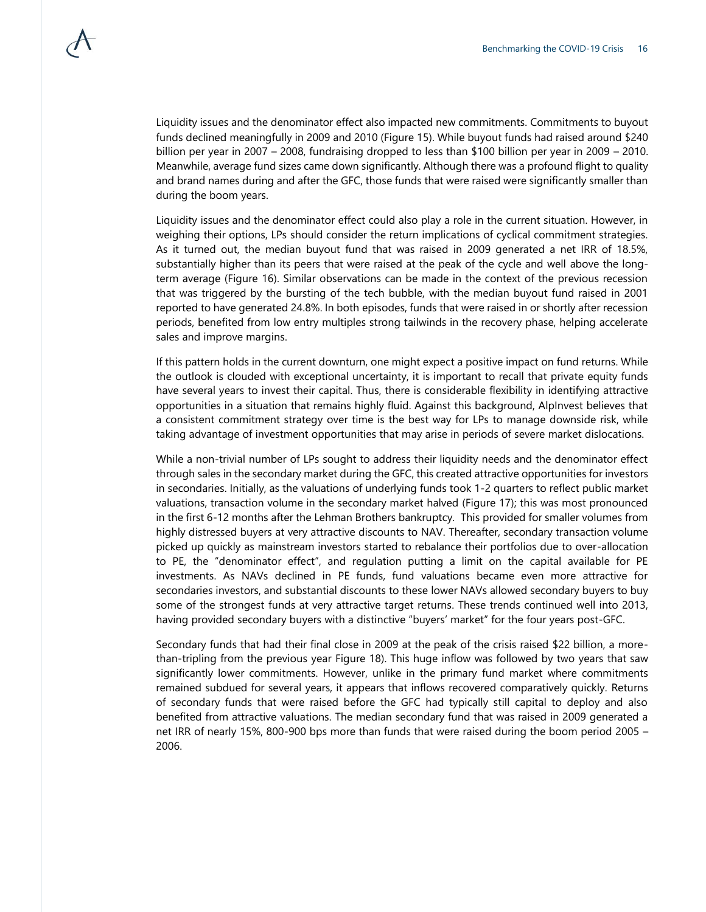Liquidity issues and the denominator effect also impacted new commitments. Commitments to buyout funds declined meaningfully in 2009 and 2010 (Figure 15). While buyout funds had raised around \$240 billion per year in 2007 – 2008, fundraising dropped to less than \$100 billion per year in 2009 – 2010. Meanwhile, average fund sizes came down significantly. Although there was a profound flight to quality and brand names during and after the GFC, those funds that were raised were significantly smaller than during the boom years.

Liquidity issues and the denominator effect could also play a role in the current situation. However, in weighing their options, LPs should consider the return implications of cyclical commitment strategies. As it turned out, the median buyout fund that was raised in 2009 generated a net IRR of 18.5%, substantially higher than its peers that were raised at the peak of the cycle and well above the longterm average (Figure 16). Similar observations can be made in the context of the previous recession that was triggered by the bursting of the tech bubble, with the median buyout fund raised in 2001 reported to have generated 24.8%. In both episodes, funds that were raised in or shortly after recession periods, benefited from low entry multiples strong tailwinds in the recovery phase, helping accelerate sales and improve margins.

If this pattern holds in the current downturn, one might expect a positive impact on fund returns. While the outlook is clouded with exceptional uncertainty, it is important to recall that private equity funds have several years to invest their capital. Thus, there is considerable flexibility in identifying attractive opportunities in a situation that remains highly fluid. Against this background, AlpInvest believes that a consistent commitment strategy over time is the best way for LPs to manage downside risk, while taking advantage of investment opportunities that may arise in periods of severe market dislocations.

While a non-trivial number of LPs sought to address their liquidity needs and the denominator effect through sales in the secondary market during the GFC, this created attractive opportunities for investors in secondaries. Initially, as the valuations of underlying funds took 1-2 quarters to reflect public market valuations, transaction volume in the secondary market halved (Figure 17); this was most pronounced in the first 6-12 months after the Lehman Brothers bankruptcy. This provided for smaller volumes from highly distressed buyers at very attractive discounts to NAV. Thereafter, secondary transaction volume picked up quickly as mainstream investors started to rebalance their portfolios due to over-allocation to PE, the "denominator effect", and regulation putting a limit on the capital available for PE investments. As NAVs declined in PE funds, fund valuations became even more attractive for secondaries investors, and substantial discounts to these lower NAVs allowed secondary buyers to buy some of the strongest funds at very attractive target returns. These trends continued well into 2013, having provided secondary buyers with a distinctive "buyers' market" for the four years post-GFC.

Secondary funds that had their final close in 2009 at the peak of the crisis raised \$22 billion, a morethan-tripling from the previous year Figure 18). This huge inflow was followed by two years that saw significantly lower commitments. However, unlike in the primary fund market where commitments remained subdued for several years, it appears that inflows recovered comparatively quickly. Returns of secondary funds that were raised before the GFC had typically still capital to deploy and also benefited from attractive valuations. The median secondary fund that was raised in 2009 generated a net IRR of nearly 15%, 800-900 bps more than funds that were raised during the boom period 2005 – 2006.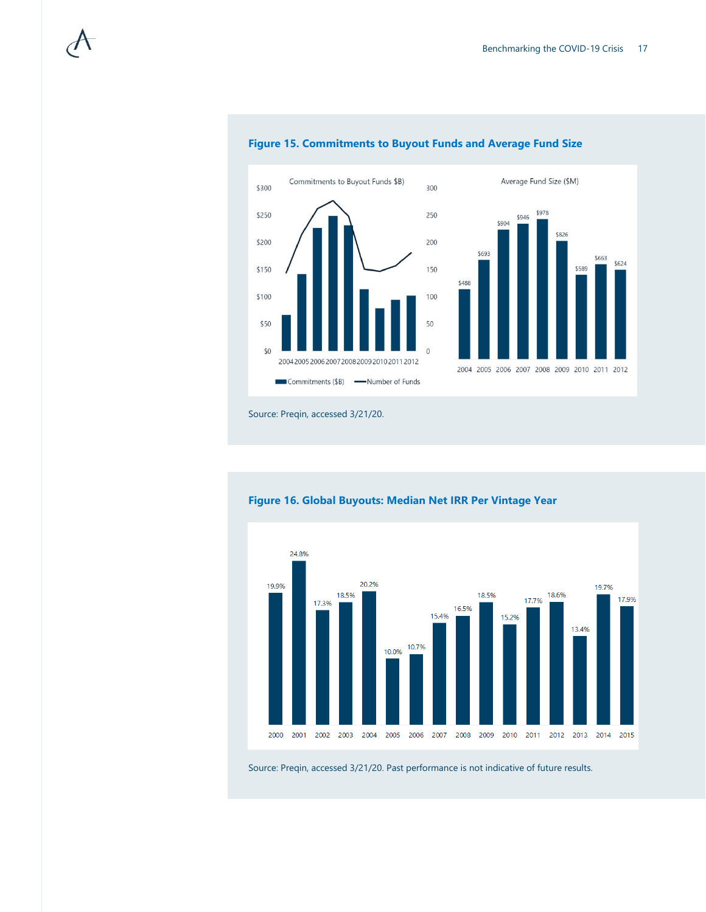\$826

\$663 \$624

\$589



#### **Figure 15. Commitments to Buyout Funds and Average Fund Size**



### **Figure 16. Global Buyouts: Median Net IRR Per Vintage Year**

Source: Preqin, accessed 3/21/20. Past performance is not indicative of future results.

Source: Preqin, accessed 3/21/20.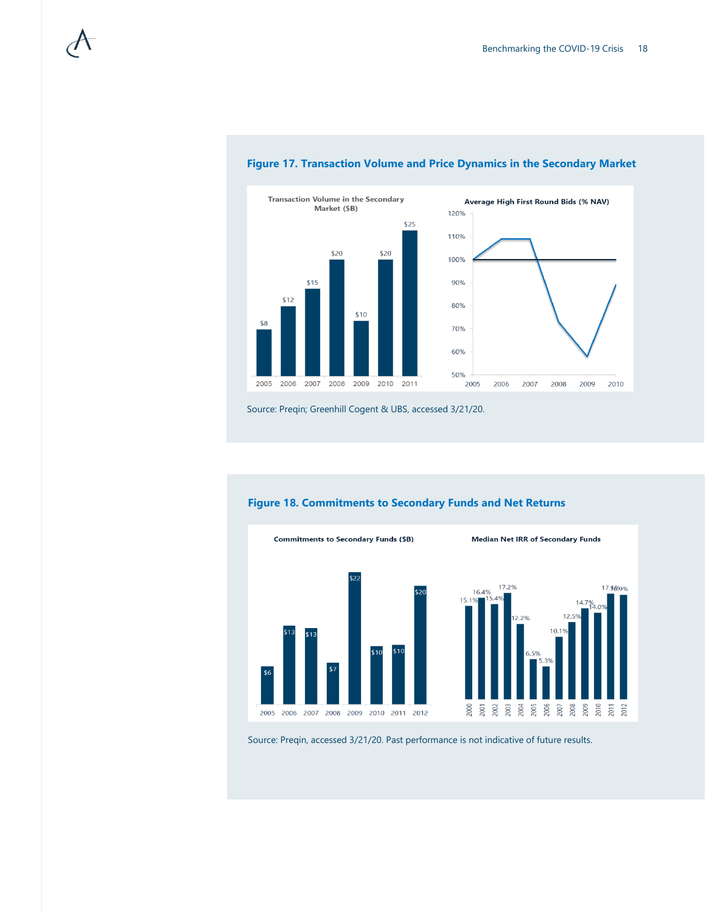



### **Figure 17. Transaction Volume and Price Dynamics in the Secondary Market**

Source: Preqin; Greenhill Cogent & UBS, accessed 3/21/20.



### **Figure 18. Commitments to Secondary Funds and Net Returns**

Source: Preqin, accessed 3/21/20. Past performance is not indicative of future results.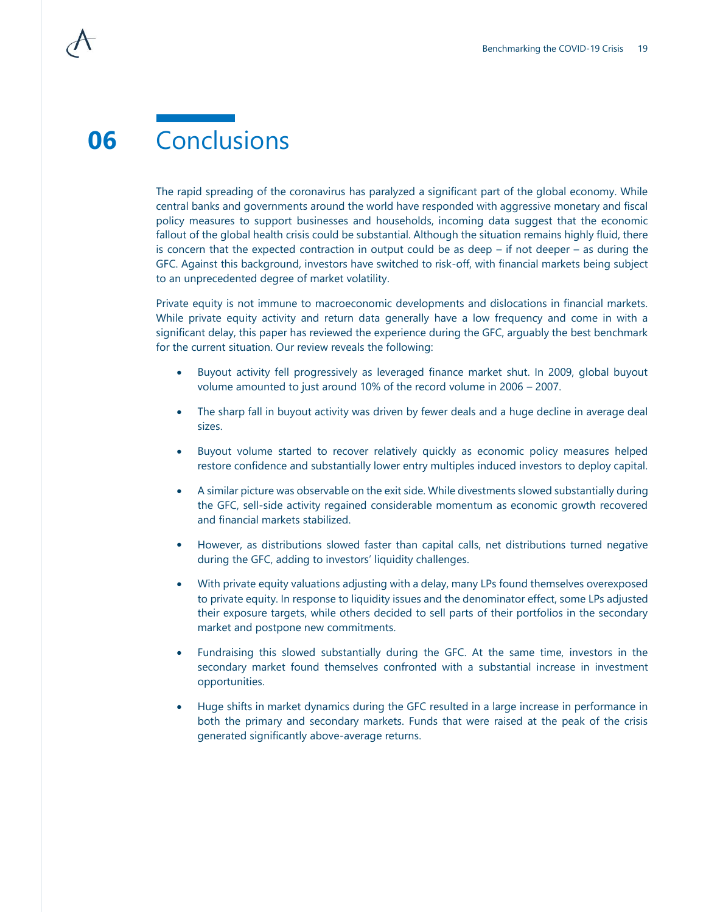The rapid spreading of the coronavirus has paralyzed a significant part of the global economy. While central banks and governments around the world have responded with aggressive monetary and fiscal policy measures to support businesses and households, incoming data suggest that the economic fallout of the global health crisis could be substantial. Although the situation remains highly fluid, there is concern that the expected contraction in output could be as deep  $-$  if not deeper  $-$  as during the GFC. Against this background, investors have switched to risk-off, with financial markets being subject to an unprecedented degree of market volatility.

Private equity is not immune to macroeconomic developments and dislocations in financial markets. While private equity activity and return data generally have a low frequency and come in with a significant delay, this paper has reviewed the experience during the GFC, arguably the best benchmark for the current situation. Our review reveals the following:

- Buyout activity fell progressively as leveraged finance market shut. In 2009, global buyout volume amounted to just around 10% of the record volume in 2006 – 2007.
- The sharp fall in buyout activity was driven by fewer deals and a huge decline in average deal sizes.
- Buyout volume started to recover relatively quickly as economic policy measures helped restore confidence and substantially lower entry multiples induced investors to deploy capital.
- A similar picture was observable on the exit side. While divestments slowed substantially during the GFC, sell-side activity regained considerable momentum as economic growth recovered and financial markets stabilized.
- However, as distributions slowed faster than capital calls, net distributions turned negative during the GFC, adding to investors' liquidity challenges.
- With private equity valuations adjusting with a delay, many LPs found themselves overexposed to private equity. In response to liquidity issues and the denominator effect, some LPs adjusted their exposure targets, while others decided to sell parts of their portfolios in the secondary market and postpone new commitments.
- Fundraising this slowed substantially during the GFC. At the same time, investors in the secondary market found themselves confronted with a substantial increase in investment opportunities.
- Huge shifts in market dynamics during the GFC resulted in a large increase in performance in both the primary and secondary markets. Funds that were raised at the peak of the crisis generated significantly above-average returns.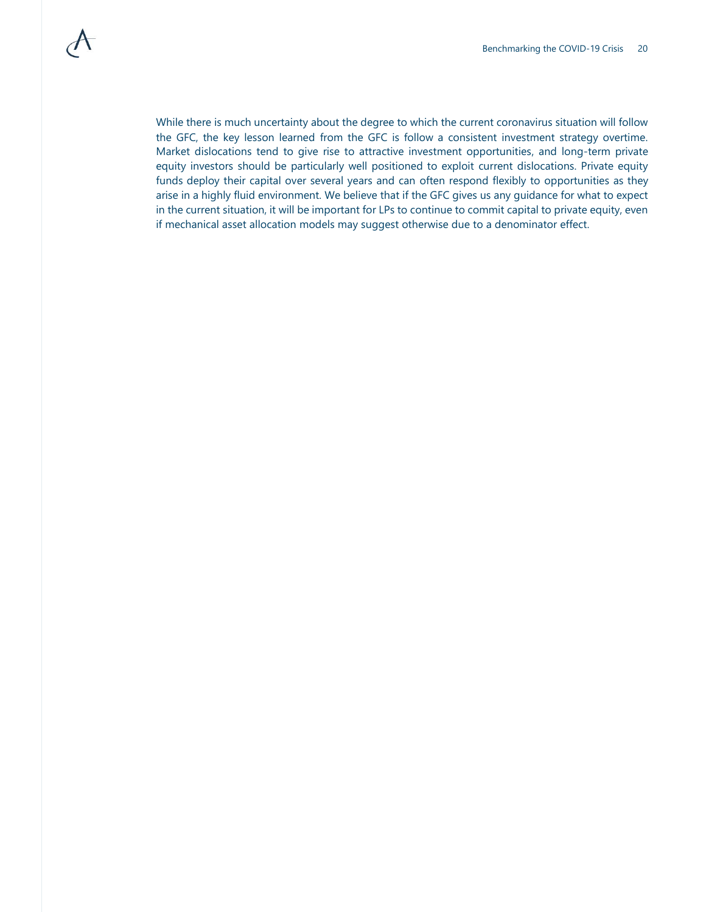While there is much uncertainty about the degree to which the current coronavirus situation will follow the GFC, the key lesson learned from the GFC is follow a consistent investment strategy overtime. Market dislocations tend to give rise to attractive investment opportunities, and long-term private equity investors should be particularly well positioned to exploit current dislocations. Private equity funds deploy their capital over several years and can often respond flexibly to opportunities as they arise in a highly fluid environment. We believe that if the GFC gives us any guidance for what to expect in the current situation, it will be important for LPs to continue to commit capital to private equity, even if mechanical asset allocation models may suggest otherwise due to a denominator effect.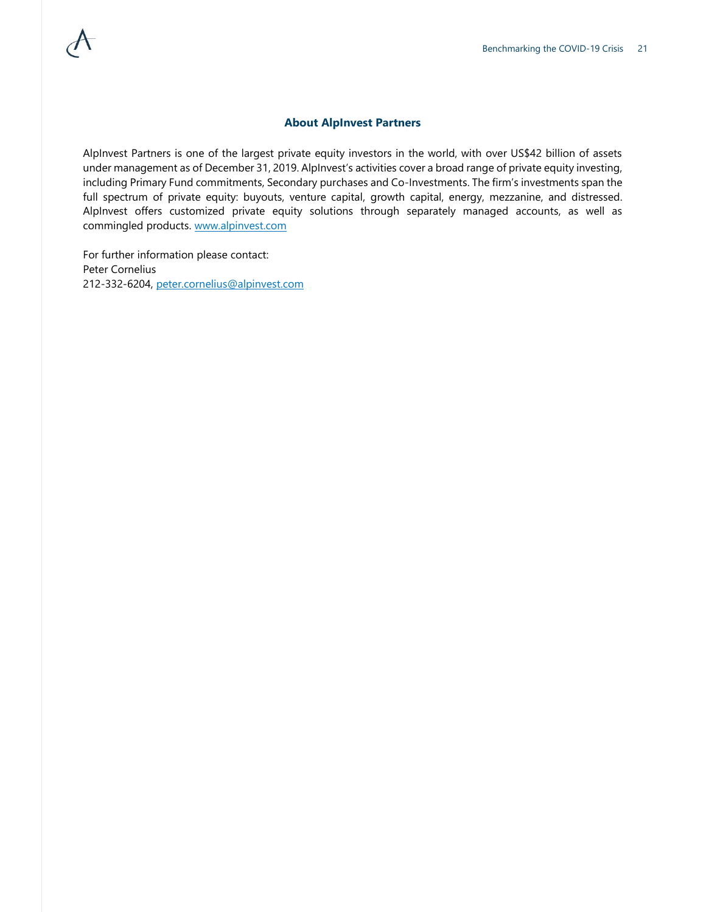### **About AlpInvest Partners**

AlpInvest Partners is one of the largest private equity investors in the world, with over US\$42 billion of assets under management as of December 31, 2019. AlpInvest's activities cover a broad range of private equity investing, including Primary Fund commitments, Secondary purchases and Co-Investments. The firm's investments span the full spectrum of private equity: buyouts, venture capital, growth capital, energy, mezzanine, and distressed. AlpInvest offers customized private equity solutions through separately managed accounts, as well as commingled products. [www.alpinvest.com](http://www.alpinvest.com/)

For further information please contact: Peter Cornelius 212-332-6204, [peter.cornelius@alpinvest.com](mailto:peter.cornelius@alpinvest.com)